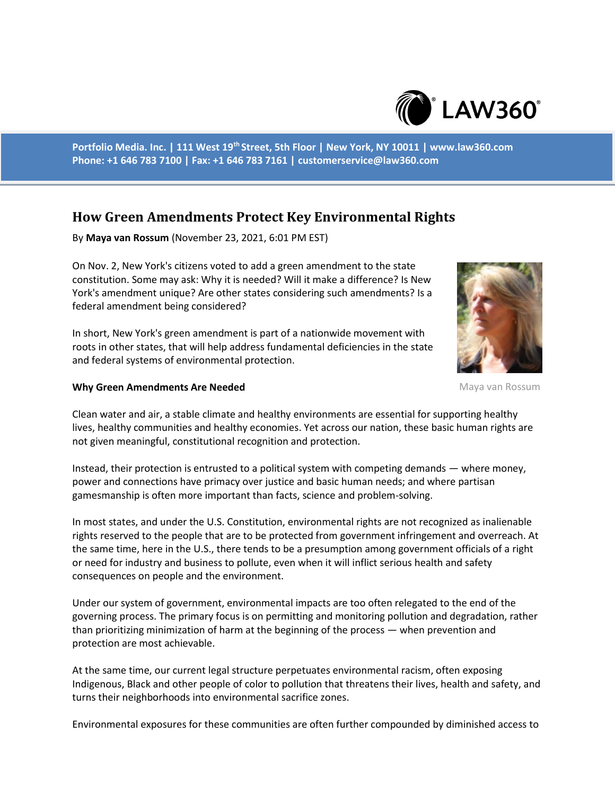

**Portfolio Media. Inc. | 111 West 19th Street, 5th Floor | New York, NY 10011 | www.law360.com Phone: +1 646 783 7100 | Fax: +1 646 783 7161 | customerservice@law360.com**

# **How Green Amendments Protect Key Environmental Rights**

By **Maya van Rossum** (November 23, 2021, 6:01 PM EST)

On Nov. 2, New York's citizens voted to add a green amendment to the state constitution. Some may ask: Why it is needed? Will it make a difference? Is New York's amendment unique? Are other states considering such amendments? Is a federal amendment being considered?

In short, New York's green amendment is part of a nationwide movement with roots in other states, that will help address fundamental deficiencies in the state and federal systems of environmental protection.



#### **Why Green Amendments Are Needed**

Maya van Rossum

Clean water and air, a stable climate and healthy environments are essential for supporting healthy lives, healthy communities and healthy economies. Yet across our nation, these basic human rights are not given meaningful, constitutional recognition and protection.

Instead, their protection is entrusted to a political system with competing demands — where money, power and connections have primacy over justice and basic human needs; and where partisan gamesmanship is often more important than facts, science and problem-solving.

In most states, and under the U.S. Constitution, environmental rights are not recognized as inalienable rights reserved to the people that are to be protected from government infringement and overreach. At the same time, here in the U.S., there tends to be a presumption among government officials of a right or need for industry and business to pollute, even when it will inflict serious health and safety consequences on people and the environment.

Under our system of government, environmental impacts are too often relegated to the end of the governing process. The primary focus is on permitting and monitoring pollution and degradation, rather than prioritizing minimization of harm at the beginning of the process — when prevention and protection are most achievable.

At the same time, our current legal structure perpetuates environmental racism, often exposing Indigenous, Black and other people of color to pollution that threatens their lives, health and safety, and turns their neighborhoods into environmental sacrifice zones.

Environmental exposures for these communities are often further compounded by diminished access to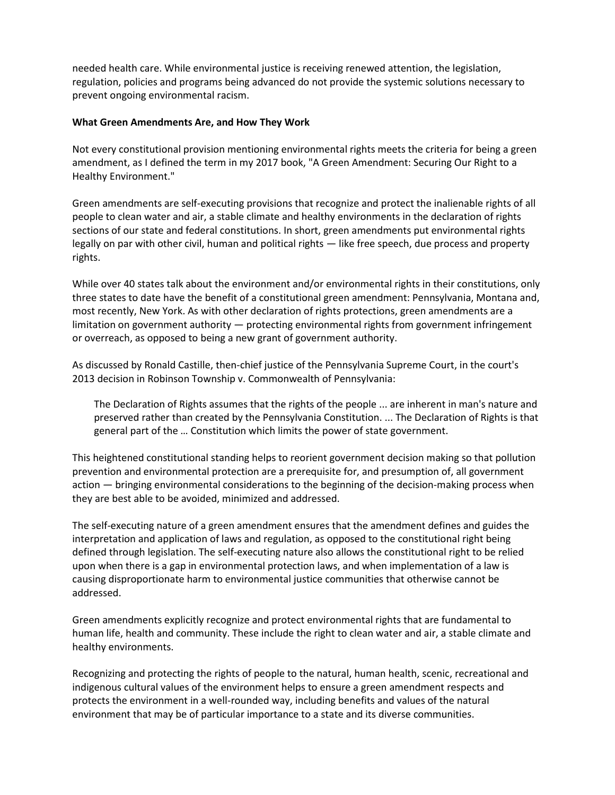needed health care. While environmental justice is receiving renewed attention, the legislation, regulation, policies and programs being advanced do not provide the systemic solutions necessary to prevent ongoing environmental racism.

## **What Green Amendments Are, and How They Work**

Not every constitutional provision mentioning environmental rights meets the criteria for being a green amendment, as I defined the term in my 2017 book, "A Green Amendment: Securing Our Right to a Healthy Environment."

Green amendments are self-executing provisions that recognize and protect the inalienable rights of all people to clean water and air, a stable climate and healthy environments in the declaration of rights sections of our state and federal constitutions. In short, green amendments put environmental rights legally on par with other civil, human and political rights — like free speech, due process and property rights.

While over 40 states talk about the environment and/or environmental rights in their constitutions, only three states to date have the benefit of a constitutional green amendment: Pennsylvania, Montana and, most recently, New York. As with other declaration of rights protections, green amendments are a limitation on government authority — protecting environmental rights from government infringement or overreach, as opposed to being a new grant of government authority.

As discussed by Ronald Castille, then-chief justice of the Pennsylvania Supreme Court, in the court's 2013 decision in Robinson Township v. Commonwealth of Pennsylvania:

The Declaration of Rights assumes that the rights of the people ... are inherent in man's nature and preserved rather than created by the Pennsylvania Constitution. ... The Declaration of Rights is that general part of the … Constitution which limits the power of state government.

This heightened constitutional standing helps to reorient government decision making so that pollution prevention and environmental protection are a prerequisite for, and presumption of, all government action — bringing environmental considerations to the beginning of the decision-making process when they are best able to be avoided, minimized and addressed.

The self-executing nature of a green amendment ensures that the amendment defines and guides the interpretation and application of laws and regulation, as opposed to the constitutional right being defined through legislation. The self-executing nature also allows the constitutional right to be relied upon when there is a gap in environmental protection laws, and when implementation of a law is causing disproportionate harm to environmental justice communities that otherwise cannot be addressed.

Green amendments explicitly recognize and protect environmental rights that are fundamental to human life, health and community. These include the right to clean water and air, a stable climate and healthy environments.

Recognizing and protecting the rights of people to the natural, human health, scenic, recreational and indigenous cultural values of the environment helps to ensure a green amendment respects and protects the environment in a well-rounded way, including benefits and values of the natural environment that may be of particular importance to a state and its diverse communities.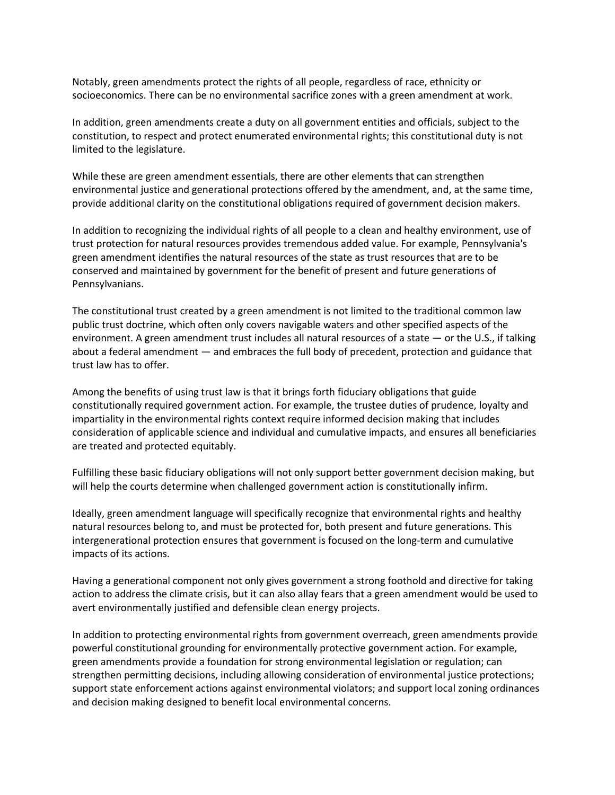Notably, green amendments protect the rights of all people, regardless of race, ethnicity or socioeconomics. There can be no environmental sacrifice zones with a green amendment at work.

In addition, green amendments create a duty on all government entities and officials, subject to the constitution, to respect and protect enumerated environmental rights; this constitutional duty is not limited to the legislature.

While these are green amendment essentials, there are other elements that can strengthen environmental justice and generational protections offered by the amendment, and, at the same time, provide additional clarity on the constitutional obligations required of government decision makers.

In addition to recognizing the individual rights of all people to a clean and healthy environment, use of trust protection for natural resources provides tremendous added value. For example, Pennsylvania's green amendment identifies the natural resources of the state as trust resources that are to be conserved and maintained by government for the benefit of present and future generations of Pennsylvanians.

The constitutional trust created by a green amendment is not limited to the traditional common law public trust doctrine, which often only covers navigable waters and other specified aspects of the environment. A green amendment trust includes all natural resources of a state — or the U.S., if talking about a federal amendment — and embraces the full body of precedent, protection and guidance that trust law has to offer.

Among the benefits of using trust law is that it brings forth fiduciary obligations that guide constitutionally required government action. For example, the trustee duties of prudence, loyalty and impartiality in the environmental rights context require informed decision making that includes consideration of applicable science and individual and cumulative impacts, and ensures all beneficiaries are treated and protected equitably.

Fulfilling these basic fiduciary obligations will not only support better government decision making, but will help the courts determine when challenged government action is constitutionally infirm.

Ideally, green amendment language will specifically recognize that environmental rights and healthy natural resources belong to, and must be protected for, both present and future generations. This intergenerational protection ensures that government is focused on the long-term and cumulative impacts of its actions.

Having a generational component not only gives government a strong foothold and directive for taking action to address the climate crisis, but it can also allay fears that a green amendment would be used to avert environmentally justified and defensible clean energy projects.

In addition to protecting environmental rights from government overreach, green amendments provide powerful constitutional grounding for environmentally protective government action. For example, green amendments provide a foundation for strong environmental legislation or regulation; can strengthen permitting decisions, including allowing consideration of environmental justice protections; support state enforcement actions against environmental violators; and support local zoning ordinances and decision making designed to benefit local environmental concerns.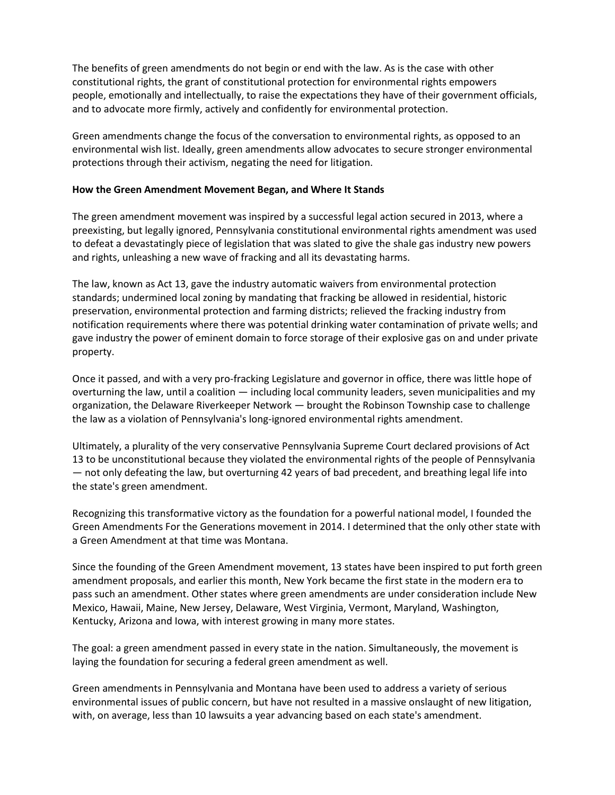The benefits of green amendments do not begin or end with the law. As is the case with other constitutional rights, the grant of constitutional protection for environmental rights empowers people, emotionally and intellectually, to raise the expectations they have of their government officials, and to advocate more firmly, actively and confidently for environmental protection.

Green amendments change the focus of the conversation to environmental rights, as opposed to an environmental wish list. Ideally, green amendments allow advocates to secure stronger environmental protections through their activism, negating the need for litigation.

### **How the Green Amendment Movement Began, and Where It Stands**

The green amendment movement was inspired by a successful legal action secured in 2013, where a preexisting, but legally ignored, Pennsylvania constitutional environmental rights amendment was used to defeat a devastatingly piece of legislation that was slated to give the shale gas industry new powers and rights, unleashing a new wave of fracking and all its devastating harms.

The law, known as Act 13, gave the industry automatic waivers from environmental protection standards; undermined local zoning by mandating that fracking be allowed in residential, historic preservation, environmental protection and farming districts; relieved the fracking industry from notification requirements where there was potential drinking water contamination of private wells; and gave industry the power of eminent domain to force storage of their explosive gas on and under private property.

Once it passed, and with a very pro-fracking Legislature and governor in office, there was little hope of overturning the law, until a coalition — including local community leaders, seven municipalities and my organization, the Delaware Riverkeeper Network — brought the Robinson Township case to challenge the law as a violation of Pennsylvania's long-ignored environmental rights amendment.

Ultimately, a plurality of the very conservative Pennsylvania Supreme Court declared provisions of Act 13 to be unconstitutional because they violated the environmental rights of the people of Pennsylvania — not only defeating the law, but overturning 42 years of bad precedent, and breathing legal life into the state's green amendment.

Recognizing this transformative victory as the foundation for a powerful national model, I founded the Green Amendments For the Generations movement in 2014. I determined that the only other state with a Green Amendment at that time was Montana.

Since the founding of the Green Amendment movement, 13 states have been inspired to put forth green amendment proposals, and earlier this month, New York became the first state in the modern era to pass such an amendment. Other states where green amendments are under consideration include New Mexico, Hawaii, Maine, New Jersey, Delaware, West Virginia, Vermont, Maryland, Washington, Kentucky, Arizona and Iowa, with interest growing in many more states.

The goal: a green amendment passed in every state in the nation. Simultaneously, the movement is laying the foundation for securing a federal green amendment as well.

Green amendments in Pennsylvania and Montana have been used to address a variety of serious environmental issues of public concern, but have not resulted in a massive onslaught of new litigation, with, on average, less than 10 lawsuits a year advancing based on each state's amendment.